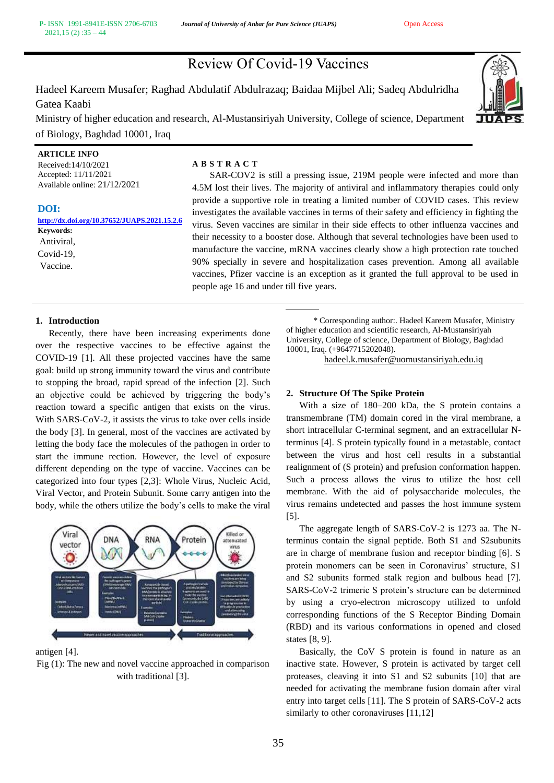# Review Of Covid-19 Vaccines

Hadeel Kareem Musafer; Raghad Abdulatif Abdulrazaq; Baidaa Mijbel Ali; Sadeq Abdulridha Gatea Kaabi

Ministry of higher education and research, Al-Mustansiriyah University, College of science, Department of Biology, Baghdad 10001, Iraq



# **ARTICLE INFO**

Received:14/10/2021 Accepted: 11/11/2021 Available online: 21/12/2021

# **DOI:**

**[http://dx.doi.org/10.37652/JUAPS.2021.15.2.6](http://dx.doi.org/10.37652/JUAPS.2021.15.2.2) Keywords:** Antiviral, Covid-19, Vaccine.

# **A B S T R A C T**

SAR-COV2 is still a pressing issue, 219M people were infected and more than 4.5M lost their lives. The majority of antiviral and inflammatory therapies could only provide a supportive role in treating a limited number of COVID cases. This review investigates the available vaccines in terms of their safety and efficiency in fighting the virus. Seven vaccines are similar in their side effects to other influenza vaccines and their necessity to a booster dose. Although that several technologies have been used to manufacture the vaccine, mRNA vaccines clearly show a high protection rate touched 90% specially in severe and hospitalization cases prevention. Among all available vaccines, Pfizer vaccine is an exception as it granted the full approval to be used in people age 16 and under till five years.

# **1. Introduction**

Recently, there have been increasing experiments done over the respective vaccines to be effective against the COVID-19 [1]. All these projected vaccines have the same goal: build up strong immunity toward the virus and contribute to stopping the broad, rapid spread of the infection [2]. Such an objective could be achieved by triggering the body's reaction toward a specific antigen that exists on the virus. With SARS-CoV-2, it assists the virus to take over cells inside the body [3]. In general, most of the vaccines are activated by letting the body face the molecules of the pathogen in order to start the immune rection. However, the level of exposure different depending on the type of vaccine. Vaccines can be categorized into four types [2,3]: Whole Virus, Nucleic Acid, Viral Vector, and Protein Subunit. Some carry antigen into the body, while the others utilize the body's cells to make the viral



antigen [4].

Fig (1): The new and novel vaccine approached in comparison with traditional [3].

 \* Corresponding author:. Hadeel Kareem Musafer, Ministry of higher education and scientific research, Al-Mustansiriyah University, College of science, Department of Biology, Baghdad 10001, Iraq. (+9647715202048).

[hadeel.k.musafer@uomustansiriyah.edu.iq](mailto:hadeel.k.musafer@uomustansiriyah.edu.iq)

# **2. Structure Of The Spike Protein**

With a size of 180–200 kDa, the S protein contains a transmembrane (TM) domain cored in the viral membrane, a short intracellular C-terminal segment, and an extracellular Nterminus [4]. S protein typically found in a metastable, contact between the virus and host cell results in a substantial realignment of (S protein) and prefusion conformation happen. Such a process allows the virus to utilize the host cell membrane. With the aid of polysaccharide molecules, the virus remains undetected and passes the host immune system [5].

The aggregate length of SARS-CoV-2 is 1273 aa. The Nterminus contain the signal peptide. Both S1 and S2subunits are in charge of membrane fusion and receptor binding [6]. S protein monomers can be seen in Coronavirus' structure, S1 and S2 subunits formed stalk region and bulbous head [7]. SARS-CoV-2 trimeric S protein's structure can be determined by using a cryo-electron microscopy utilized to unfold corresponding functions of the S Receptor Binding Domain (RBD) and its various conformations in opened and closed states [8, 9].

Basically, the CoV S protein is found in nature as an inactive state. However, S protein is activated by target cell proteases, cleaving it into S1 and S2 subunits [10] that are needed for activating the membrane fusion domain after viral entry into target cells [11]. The S protein of SARS-CoV-2 acts similarly to other coronaviruses [11,12]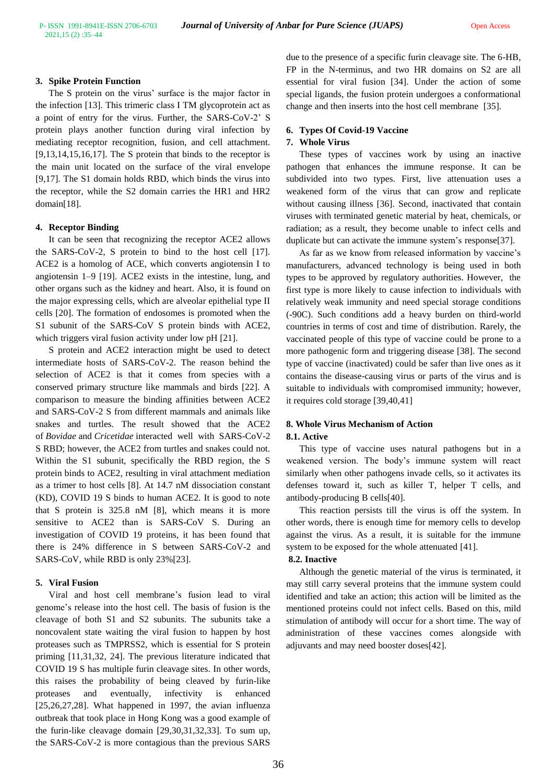# **3. Spike Protein Function**

The S protein on the virus' surface is the major factor in the infection [13]. This trimeric class I TM glycoprotein act as a point of entry for the virus. Further, the SARS-CoV-2' S protein plays another function during viral infection by mediating receptor recognition, fusion, and cell attachment. [9,13,14,15,16,17]. The S protein that binds to the receptor is the main unit located on the surface of the viral envelope [9,17]. The S1 domain holds RBD, which binds the virus into the receptor, while the S2 domain carries the HR1 and HR2 domain[18].

# **4. Receptor Binding**

It can be seen that recognizing the receptor ACE2 allows the SARS-CoV-2, S protein to bind to the host cell [17]. ACE2 is a homolog of ACE, which converts angiotensin I to angiotensin 1–9 [19]. ACE2 exists in the intestine, lung, and other organs such as the kidney and heart. Also, it is found on the major expressing cells, which are alveolar epithelial type II cells [20]. The formation of endosomes is promoted when the S1 subunit of the SARS-CoV S protein binds with ACE2, which triggers viral fusion activity under low pH [21].

S protein and ACE2 interaction might be used to detect intermediate hosts of SARS-CoV-2. The reason behind the selection of ACE2 is that it comes from species with a conserved primary structure like mammals and birds [22]. A comparison to measure the binding affinities between ACE2 and SARS-CoV-2 S from different mammals and animals like snakes and turtles. The result showed that the ACE2 of *Bovidae* and *Cricetidae* interacted well with SARS-CoV-2 S RBD; however, the ACE2 from turtles and snakes could not. Within the S1 subunit, specifically the RBD region, the S protein binds to ACE2, resulting in viral attachment mediation as a trimer to host cells [8]. At 14.7 nM dissociation constant (KD), COVID 19 S binds to human ACE2. It is good to note that S protein is 325.8 nM [8], which means it is more sensitive to ACE2 than is SARS-CoV S. During an investigation of COVID 19 proteins, it has been found that there is 24% difference in S between SARS-CoV-2 and SARS-CoV, while RBD is only 23%[23].

# **5. Viral Fusion**

Viral and host cell membrane's fusion lead to viral genome's release into the host cell. The basis of fusion is the cleavage of both S1 and S2 subunits. The subunits take a noncovalent state waiting the viral fusion to happen by host proteases such as TMPRSS2, which is essential for S protein priming [11,31,32, 24]. The previous literature indicated that COVID 19 S has multiple furin cleavage sites. In other words, this raises the probability of being cleaved by furin-like proteases and eventually, infectivity is enhanced [25,26,27,28]. What happened in 1997, the avian influenza outbreak that took place in Hong Kong was a good example of the furin-like cleavage domain [29,30,31,32,33]. To sum up, the SARS-CoV-2 is more contagious than the previous SARS due to the presence of a specific furin cleavage site. The 6-HB, FP in the N-terminus, and two HR domains on S2 are all essential for viral fusion [34]. Under the action of some special ligands, the fusion protein undergoes a conformational change and then inserts into the host cell membrane [35].

# **6. Types Of Covid-19 Vaccine**

# **7. Whole Virus**

These types of vaccines work by using an inactive pathogen that enhances the immune response. It can be subdivided into two types. First, live attenuation uses a weakened form of the virus that can grow and replicate without causing illness [36]. Second, inactivated that contain viruses with terminated genetic material by heat, chemicals, or radiation; as a result, they become unable to infect cells and duplicate but can activate the immune system's response<sup>[37]</sup>.

As far as we know from released information by vaccine's manufacturers, advanced technology is being used in both types to be approved by regulatory authorities. However, the first type is more likely to cause infection to individuals with relatively weak immunity and need special storage conditions (-90C). Such conditions add a heavy burden on third-world countries in terms of cost and time of distribution. Rarely, the vaccinated people of this type of vaccine could be prone to a more pathogenic form and triggering disease [38]. The second type of vaccine (inactivated) could be safer than live ones as it contains the disease-causing virus or parts of the virus and is suitable to individuals with compromised immunity; however, it requires cold storage [39,40,41]

# **8. Whole Virus Mechanism of Action 8.1. Active**

This type of vaccine uses natural pathogens but in a weakened version. The body's immune system will react similarly when other pathogens invade cells, so it activates its defenses toward it, such as killer T, helper T cells, and antibody-producing B cells[40].

This reaction persists till the virus is off the system. In other words, there is enough time for memory cells to develop against the virus. As a result, it is suitable for the immune system to be exposed for the whole attenuated [41].

### **8.2. Inactive**

Although the genetic material of the virus is terminated, it may still carry several proteins that the immune system could identified and take an action; this action will be limited as the mentioned proteins could not infect cells. Based on this, mild stimulation of antibody will occur for a short time. The way of administration of these vaccines comes alongside with adjuvants and may need booster doses[42].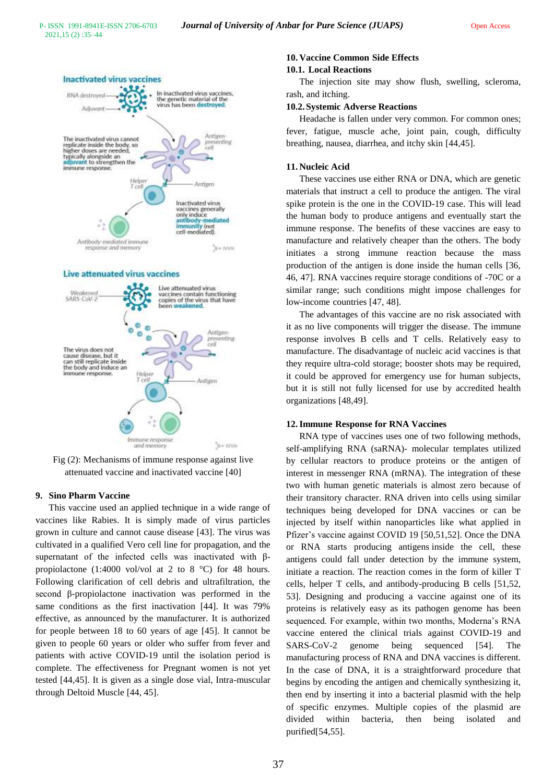

#### Live attenuated virus vaccines



Fig (2): Mechanisms of immune response against live attenuated vaccine and inactivated vaccine [40]

## **9. Sino Pharm Vaccine**

This vaccine used an applied technique in a wide range of vaccines like Rabies. It is simply made of virus particles grown in culture and cannot cause disease [43]. The virus was cultivated in a qualified Vero cell line for propagation, and the supernatant of the infected cells was inactivated with βpropiolactone (1:4000 vol/vol at 2 to 8 °C) for 48 hours. Following clarification of cell debris and ultrafiltration, the second β-propiolactone inactivation was performed in the same conditions as the first inactivation [44]. It was 79% effective, as announced by the manufacturer. It is authorized for people between 18 to 60 years of age [45]. It cannot be given to people 60 years or older who suffer from fever and patients with active COVID-19 until the isolation period is complete. The effectiveness for Pregnant women is not yet tested [44,45]. It is given as a single dose vial, Intra-muscular through Deltoid Muscle [44, 45].

# **10. Vaccine Common Side Effects**

#### **10.1. Local Reactions**

The injection site may show flush, swelling, scleroma, rash, and itching.

### **10.2.Systemic Adverse Reactions**

Headache is fallen under very common. For common ones; fever, fatigue, muscle ache, joint pain, cough, difficulty breathing, nausea, diarrhea, and itchy skin [44,45].

# **11. Nucleic Acid**

These vaccines use either RNA or DNA, which are genetic materials that instruct a cell to produce the antigen. The viral spike protein is the one in the COVID-19 case. This will lead the human body to produce antigens and eventually start the immune response. The benefits of these vaccines are easy to manufacture and relatively cheaper than the others. The body initiates a strong immune reaction because the mass production of the antigen is done inside the human cells [36, 46, 47]. RNA vaccines require storage conditions of -70C or a similar range; such conditions might impose challenges for low-income countries [47, 48].

The advantages of this vaccine are no risk associated with it as no live components will trigger the disease. The immune response involves B cells and T cells. Relatively easy to manufacture. The disadvantage of nucleic acid vaccines is that they require ultra-cold storage; booster shots may be required, it could be approved for emergency use for human subjects, but it is still not fully licensed for use by accredited health organizations [48,49].

# **12.Immune Response for RNA Vaccines**

RNA type of vaccines uses one of two following methods, self-amplifying RNA (saRNA)- molecular templates utilized by cellular reactors to produce proteins or the antigen of interest in messenger RNA (mRNA). The integration of these two with human genetic materials is almost zero because of their transitory character. RNA driven into cells using similar techniques being developed for DNA vaccines or can be injected by itself within nanoparticles like what applied in Pfizer's vaccine against COVID 19 [50,51,52]. Once the DNA or RNA starts producing antigens inside the cell, these antigens could fall under detection by the immune system, initiate a reaction. The reaction comes in the form of killer T cells, helper T cells, and antibody-producing B cells [51,52, 53]. Designing and producing a vaccine against one of its proteins is relatively easy as its pathogen genome has been sequenced. For example, within two months, Moderna's RNA vaccine entered the clinical trials against COVID-19 and SARS-CoV-2 genome being sequenced [54]. The manufacturing process of RNA and DNA vaccines is different. In the case of DNA, it is a straightforward procedure that begins by encoding the antigen and chemically synthesizing it, then end by inserting it into a bacterial plasmid with the help of specific enzymes. Multiple copies of the plasmid are divided within bacteria, then being isolated and purified[54,55].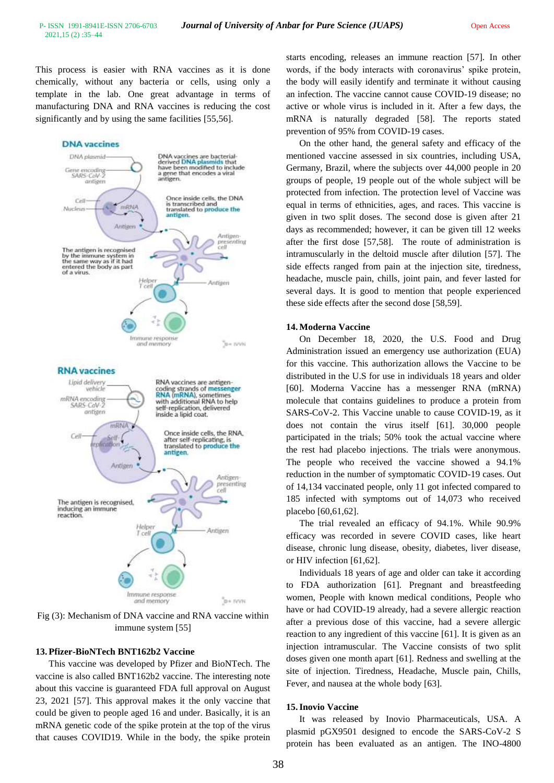This process is easier with RNA vaccines as it is done chemically, without any bacteria or cells, using only a template in the lab. One great advantage in terms of manufacturing DNA and RNA vaccines is reducing the cost significantly and by using the same facilities [55,56].



Fig (3): Mechanism of DNA vaccine and RNA vaccine within immune system [55]

#### **13. Pfizer-BioNTech BNT162b2 Vaccine**

This vaccine was developed by Pfizer and BioNTech. The vaccine is also called BNT162b2 vaccine. The interesting note about this vaccine is guaranteed FDA full approval on August 23, 2021 [57]. This approval makes it the only vaccine that could be given to people aged 16 and under. Basically, it is an mRNA genetic code of the spike protein at the top of the virus that causes COVID19. While in the body, the spike protein starts encoding, releases an immune reaction [57]. In other words, if the body interacts with coronavirus' spike protein, the body will easily identify and terminate it without causing an infection. The vaccine cannot cause COVID-19 disease; no active or whole virus is included in it. After a few days, the mRNA is naturally degraded [58]. The reports stated prevention of 95% from COVID-19 cases.

On the other hand, the general safety and efficacy of the mentioned vaccine assessed in six countries, including USA, Germany, Brazil, where the subjects over 44,000 people in 20 groups of people, 19 people out of the whole subject will be protected from infection. The protection level of Vaccine was equal in terms of ethnicities, ages, and races. This vaccine is given in two split doses. The second dose is given after 21 days as recommended; however, it can be given till 12 weeks after the first dose [57,58]. The route of administration is intramuscularly in the deltoid muscle after dilution [57]. The side effects ranged from pain at the injection site, tiredness, headache, muscle pain, chills, joint pain, and fever lasted for several days. It is good to mention that people experienced these side effects after the second dose [58,59].

#### **14. Moderna Vaccine**

On December 18, 2020, the U.S. Food and Drug Administration issued an emergency use authorization (EUA) for this vaccine. This authorization allows the Vaccine to be distributed in the U.S for use in individuals 18 years and older [60]. Moderna Vaccine has a messenger RNA (mRNA) molecule that contains guidelines to produce a protein from SARS-CoV-2. This Vaccine unable to cause COVID-19, as it does not contain the virus itself [61]. 30,000 people participated in the trials; 50% took the actual vaccine where the rest had placebo injections. The trials were anonymous. The people who received the vaccine showed a 94.1% reduction in the number of symptomatic COVID-19 cases. Out of 14,134 vaccinated people, only 11 got infected compared to 185 infected with symptoms out of 14,073 who received placebo [60,61,62].

The trial revealed an efficacy of 94.1%. While 90.9% efficacy was recorded in severe COVID cases, like heart disease, chronic lung disease, obesity, diabetes, liver disease, or HIV infection [61,62].

Individuals 18 years of age and older can take it according to FDA authorization [61]. Pregnant and breastfeeding women, People with known medical conditions, People who have or had COVID-19 already, had a severe allergic reaction after a previous dose of this vaccine, had a severe allergic reaction to any ingredient of this vaccine [61]. It is given as an injection intramuscular. The Vaccine consists of two split doses given one month apart [61]. Redness and swelling at the site of injection. Tiredness, Headache, Muscle pain, Chills, Fever, and nausea at the whole body [63].

### **15.Inovio Vaccine**

It was released by Inovio Pharmaceuticals, USA. A plasmid pGX9501 designed to encode the SARS-CoV-2 S protein has been evaluated as an antigen. The INO-4800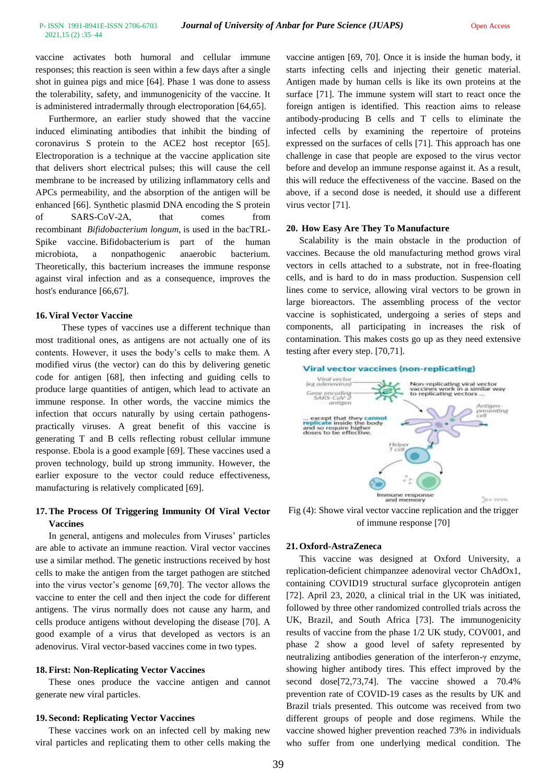vaccine activates both humoral and cellular immune responses; this reaction is seen within a few days after a single shot in guinea pigs and mice [64]. Phase 1 was done to assess the tolerability, safety, and immunogenicity of the vaccine. It is administered intradermally through electroporation [64,65].

Furthermore, an earlier study showed that the vaccine induced eliminating antibodies that inhibit the binding of coronavirus S protein to the ACE2 host receptor [65]. Electroporation is a technique at the vaccine application site that delivers short electrical pulses; this will cause the cell membrane to be increased by utilizing inflammatory cells and APCs permeability, and the absorption of the antigen will be enhanced [66]. Synthetic plasmid DNA encoding the S protein of SARS-CoV-2A, that comes from recombinant *Bifidobacterium longum*, is used in the bacTRL-Spike vaccine. Bifidobacterium is part of the human microbiota, a nonpathogenic anaerobic bacterium. Theoretically, this bacterium increases the immune response against viral infection and as a consequence, improves the host's endurance [66,67].

# **16. Viral Vector Vaccine**

These types of vaccines use a different technique than most traditional ones, as antigens are not actually one of its contents. However, it uses the body's cells to make them. A modified virus (the vector) can do this by delivering genetic code for antigen [68], then infecting and guiding cells to produce large quantities of antigen, which lead to activate an immune response. In other words, the vaccine mimics the infection that occurs naturally by using certain pathogenspractically viruses. A great benefit of this vaccine is generating T and B cells reflecting robust cellular immune response. Ebola is a good example [69]. These vaccines used a proven technology, build up strong immunity. However, the earlier exposure to the vector could reduce effectiveness, manufacturing is relatively complicated [69].

# **17.The Process Of Triggering Immunity Of Viral Vector Vaccines**

In general, antigens and molecules from Viruses' particles are able to activate an immune reaction. Viral vector vaccines use a similar method. The genetic instructions received by host cells to make the antigen from the target pathogen are stitched into the virus vector's genome [69,70]. The vector allows the vaccine to enter the cell and then inject the code for different antigens. The virus normally does not cause any harm, and cells produce antigens without developing the disease [70]. A good example of a virus that developed as vectors is an adenovirus. Viral vector-based vaccines come in two types.

# **18. First: Non-Replicating Vector Vaccines**

These ones produce the vaccine antigen and cannot generate new viral particles.

# **19. Second: Replicating Vector Vaccines**

These vaccines work on an infected cell by making new viral particles and replicating them to other cells making the vaccine antigen [69, 70]. Once it is inside the human body, it starts infecting cells and injecting their genetic material. Antigen made by human cells is like its own proteins at the surface [71]. The immune system will start to react once the foreign antigen is identified. This reaction aims to release antibody-producing B cells and T cells to eliminate the infected cells by examining the repertoire of proteins expressed on the surfaces of cells [71]. This approach has one challenge in case that people are exposed to the virus vector before and develop an immune response against it. As a result, this will reduce the effectiveness of the vaccine. Based on the above, if a second dose is needed, it should use a different virus vector [71].

# **20. How Easy Are They To Manufacture**

Scalability is the main obstacle in the production of vaccines. Because the old manufacturing method grows viral vectors in cells attached to a substrate, not in free-floating cells, and is hard to do in mass production. Suspension cell lines come to service, allowing viral vectors to be grown in large bioreactors. The assembling process of the vector vaccine is sophisticated, undergoing a series of steps and components, all participating in increases the risk of contamination. This makes costs go up as they need extensive testing after every step. [70,71].





Fig (4): Showe viral vector vaccine replication and the trigger of immune response [70]

# **21. Oxford-AstraZeneca**

This vaccine was designed at Oxford University, a replication-deficient chimpanzee adenoviral vector ChAdOx1, containing COVID19 structural surface glycoprotein antigen [72]. April 23, 2020, a clinical trial in the UK was initiated, followed by three other randomized controlled trials across the UK, Brazil, and South Africa [73]. The immunogenicity results of vaccine from the phase 1/2 UK study, COV001, and phase 2 show a good level of safety represented by neutralizing antibodies generation of the interferon-γ enzyme, showing higher antibody tires. This effect improved by the second dose[72,73,74]. The vaccine showed a 70.4% prevention rate of COVID-19 cases as the results by UK and Brazil trials presented. This outcome was received from two different groups of people and dose regimens. While the vaccine showed higher prevention reached 73% in individuals who suffer from one underlying medical condition. The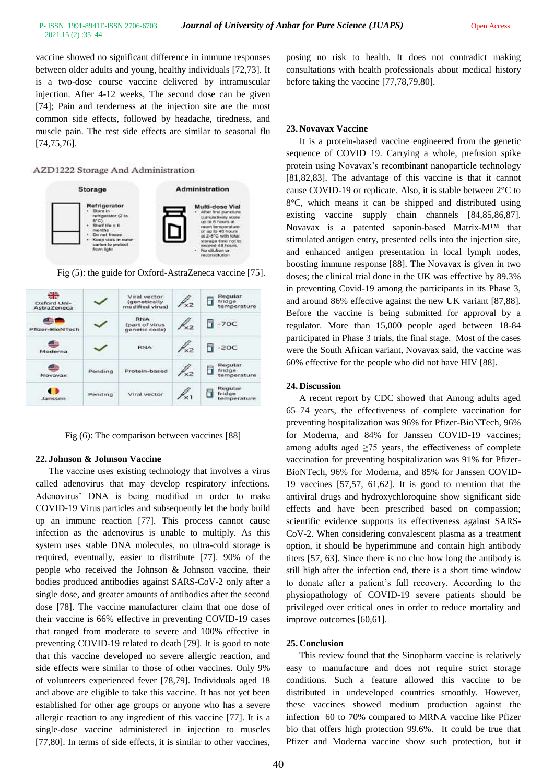vaccine showed no significant difference in immune responses between older adults and young, healthy individuals [72,73]. It is a two-dose course vaccine delivered by intramuscular injection. After 4-12 weeks, The second dose can be given [74]; Pain and tenderness at the injection site are the most common side effects, followed by headache, tiredness, and muscle pain. The rest side effects are similar to seasonal flu [74,75,76].

# AZD1222 Storage And Administration



Fig (5): the guide for Oxford-AstraZeneca vaccine [75].

| ÷<br>Oxford Uni-<br>AstraZeneca |         | Viral vector-<br><i>(genetically</i><br>modified virus) | $\frac{1}{2}$ | Reqular<br>ì<br>fridge<br>temperature |
|---------------------------------|---------|---------------------------------------------------------|---------------|---------------------------------------|
| Pfizer-BioNTech                 |         | <b>RNA</b><br>(part of virus)<br>genetic code)          |               | $-70C$                                |
| a.,<br>Moderna                  |         | <b>RNA</b>                                              | ◇⊃            | $-20C$                                |
| Novavax                         | Pendino | Protein-based                                           |               | Requiar<br>п<br>fridge<br>temperature |
| Janssen                         | Pending | Viral vector                                            |               | Requiar<br>fridge<br>temperature      |

Fig (6): The comparison between vaccines [88]

#### **22. Johnson & Johnson Vaccine**

The vaccine uses existing technology that involves a virus called adenovirus that may develop respiratory infections. Adenovirus' DNA is being modified in order to make COVID-19 Virus particles and subsequently let the body build up an immune reaction [77]. This process cannot cause infection as the adenovirus is unable to multiply. As this system uses stable DNA molecules, no ultra-cold storage is required, eventually, easier to distribute [77]. 90% of the people who received the Johnson & Johnson vaccine, their bodies produced antibodies against SARS-CoV-2 only after a single dose, and greater amounts of antibodies after the second dose [78]. The vaccine manufacturer claim that one dose of their vaccine is 66% effective in preventing COVID-19 cases that ranged from moderate to severe and 100% effective in preventing COVID-19 related to death [79]. It is good to note that this vaccine developed no severe allergic reaction, and side effects were similar to those of other vaccines. Only 9% of volunteers experienced fever [78,79]. Individuals aged 18 and above are eligible to take this vaccine. It has not yet been established for other age groups or anyone who has a severe allergic reaction to any ingredient of this vaccine [77]. It is a single-dose vaccine administered in injection to muscles [77,80]. In terms of side effects, it is similar to other vaccines, posing no risk to health. It does not contradict making consultations with health professionals about medical history before taking the vaccine [77,78,79,80].

### **23. Novavax Vaccine**

It is a protein-based vaccine engineered from the genetic sequence of COVID 19. Carrying a whole, prefusion spike protein using Novavax's recombinant nanoparticle technology [81,82,83]. The advantage of this vaccine is that it cannot cause COVID-19 or replicate. Also, it is stable between 2°C to 8°C, which means it can be shipped and distributed using existing vaccine supply chain channels [84,85,86,87]. Novavax is a patented saponin-based Matrix-M™ that stimulated antigen entry, presented cells into the injection site, and enhanced antigen presentation in local lymph nodes, boosting immune response [88]. The Novavax is given in two doses; the clinical trial done in the UK was effective by 89.3% in preventing Covid-19 among the participants in its Phase 3, and around 86% effective against the new UK variant [87,88]. Before the vaccine is being submitted for approval by a regulator. More than 15,000 people aged between 18-84 participated in Phase 3 trials, the final stage. Most of the cases were the South African variant, Novavax said, the vaccine was 60% effective for the people who did not have HIV [88].

### **24. Discussion**

A recent report by CDC showed that Among adults aged 65–74 years, the effectiveness of complete vaccination for preventing hospitalization was 96% for Pfizer-BioNTech, 96% for Moderna, and 84% for Janssen COVID-19 vaccines; among adults aged  $\geq$ 75 years, the effectiveness of complete vaccination for preventing hospitalization was 91% for Pfizer-BioNTech, 96% for Moderna, and 85% for Janssen COVID-19 vaccines [57,57, 61,62]. It is good to mention that the antiviral drugs and hydroxychloroquine show significant side effects and have been prescribed based on compassion; scientific evidence supports its effectiveness against SARS-CoV-2. When considering convalescent plasma as a treatment option, it should be hyperimmune and contain high antibody titers [57, 63]. Since there is no clue how long the antibody is still high after the infection end, there is a short time window to donate after a patient's full recovery. According to the physiopathology of COVID-19 severe patients should be privileged over critical ones in order to reduce mortality and improve outcomes [60,61].

#### **25. Conclusion**

This review found that the Sinopharm vaccine is relatively easy to manufacture and does not require strict storage conditions. Such a feature allowed this vaccine to be distributed in undeveloped countries smoothly. However, these vaccines showed medium production against the infection 60 to 70% compared to MRNA vaccine like Pfizer bio that offers high protection 99.6%. It could be true that Pfizer and Moderna vaccine show such protection, but it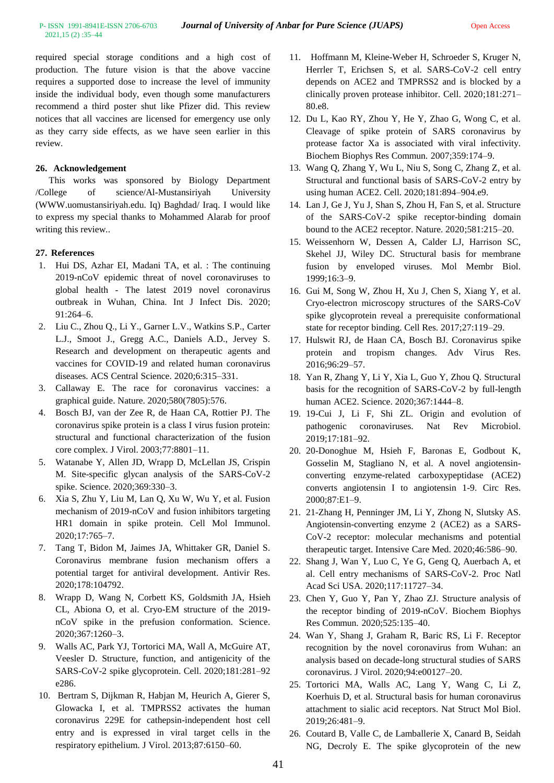2021,15 (2) :35–44

required special storage conditions and a high cost of production. The future vision is that the above vaccine requires a supported dose to increase the level of immunity inside the individual body, even though some manufacturers recommend a third poster shut like Pfizer did. This review notices that all vaccines are licensed for emergency use only as they carry side effects, as we have seen earlier in this review.

# **26. Acknowledgement**

This works was sponsored by Biology Department /College of science/Al-Mustansiriyah University (WWW.uomustansiriyah.edu. Iq) Baghdad/ Iraq. I would like to express my special thanks to Mohammed Alarab for proof writing this review..

# **27. References**

- 1. Hui DS, Azhar EI, Madani TA, et al. : The continuing 2019-nCoV epidemic threat of novel coronaviruses to global health - The latest 2019 novel coronavirus outbreak in Wuhan, China. Int J Infect Dis. 2020; 91:264–6.
- 2. Liu C., Zhou Q., Li Y., Garner L.V., Watkins S.P., Carter L.J., Smoot J., Gregg A.C., Daniels A.D., Jervey S. Research and development on therapeutic agents and vaccines for COVID-19 and related human coronavirus diseases. ACS Central Science. 2020;6:315–331.
- 3. Callaway E. The race for coronavirus vaccines: a graphical guide. Nature. 2020;580(7805):576.
- 4. Bosch BJ, van der Zee R, de Haan CA, Rottier PJ. The coronavirus spike protein is a class I virus fusion protein: structural and functional characterization of the fusion core complex. J Virol. 2003;77:8801–11.
- 5. Watanabe Y, Allen JD, Wrapp D, McLellan JS, Crispin M. Site-specific glycan analysis of the SARS-CoV-2 spike. Science. 2020;369:330–3.
- 6. Xia S, Zhu Y, Liu M, Lan Q, Xu W, Wu Y, et al. Fusion mechanism of 2019-nCoV and fusion inhibitors targeting HR1 domain in spike protein. Cell Mol Immunol. 2020;17:765–7.
- 7. Tang T, Bidon M, Jaimes JA, Whittaker GR, Daniel S. Coronavirus membrane fusion mechanism offers a potential target for antiviral development. Antivir Res. 2020;178:104792.
- 8. Wrapp D, Wang N, Corbett KS, Goldsmith JA, Hsieh CL, Abiona O, et al. Cryo-EM structure of the 2019 nCoV spike in the prefusion conformation. Science. 2020;367:1260–3.
- 9. Walls AC, Park YJ, Tortorici MA, Wall A, McGuire AT, Veesler D. Structure, function, and antigenicity of the SARS-CoV-2 spike glycoprotein. Cell. 2020;181:281–92 e286.
- 10. Bertram S, Dijkman R, Habjan M, Heurich A, Gierer S, Glowacka I, et al. TMPRSS2 activates the human coronavirus 229E for cathepsin-independent host cell entry and is expressed in viral target cells in the respiratory epithelium. J Virol. 2013;87:6150–60.
- 11. Hoffmann M, Kleine-Weber H, Schroeder S, Kruger N, Herrler T, Erichsen S, et al. SARS-CoV-2 cell entry depends on ACE2 and TMPRSS2 and is blocked by a clinically proven protease inhibitor. Cell. 2020;181:271– 80.e8.
- 12. Du L, Kao RY, Zhou Y, He Y, Zhao G, Wong C, et al. Cleavage of spike protein of SARS coronavirus by protease factor Xa is associated with viral infectivity. Biochem Biophys Res Commun. 2007;359:174–9.
- 13. Wang Q, Zhang Y, Wu L, Niu S, Song C, Zhang Z, et al. Structural and functional basis of SARS-CoV-2 entry by using human ACE2. Cell. 2020;181:894–904.e9.
- 14. Lan J, Ge J, Yu J, Shan S, Zhou H, Fan S, et al. Structure of the SARS-CoV-2 spike receptor-binding domain bound to the ACE2 receptor. Nature. 2020;581:215–20.
- 15. Weissenhorn W, Dessen A, Calder LJ, Harrison SC, Skehel JJ, Wiley DC. Structural basis for membrane fusion by enveloped viruses. Mol Membr Biol. 1999;16:3–9.
- 16. Gui M, Song W, Zhou H, Xu J, Chen S, Xiang Y, et al. Cryo-electron microscopy structures of the SARS-CoV spike glycoprotein reveal a prerequisite conformational state for receptor binding. Cell Res. 2017;27:119–29.
- 17. Hulswit RJ, de Haan CA, Bosch BJ. Coronavirus spike protein and tropism changes. Adv Virus Res. 2016;96:29–57.
- 18. Yan R, Zhang Y, Li Y, Xia L, Guo Y, Zhou Q. Structural basis for the recognition of SARS-CoV-2 by full-length human ACE2. Science. 2020;367:1444–8.
- 19. 19-Cui J, Li F, Shi ZL. Origin and evolution of pathogenic coronaviruses. Nat Rev Microbiol. 2019;17:181–92.
- 20. 20-Donoghue M, Hsieh F, Baronas E, Godbout K, Gosselin M, Stagliano N, et al. A novel angiotensinconverting enzyme-related carboxypeptidase (ACE2) converts angiotensin I to angiotensin 1-9. Circ Res. 2000;87:E1–9.
- 21. 21-Zhang H, Penninger JM, Li Y, Zhong N, Slutsky AS. Angiotensin-converting enzyme 2 (ACE2) as a SARS-CoV-2 receptor: molecular mechanisms and potential therapeutic target. Intensive Care Med. 2020;46:586–90.
- 22. Shang J, Wan Y, Luo C, Ye G, Geng Q, Auerbach A, et al. Cell entry mechanisms of SARS-CoV-2. Proc Natl Acad Sci USA. 2020;117:11727–34.
- 23. Chen Y, Guo Y, Pan Y, Zhao ZJ. Structure analysis of the receptor binding of 2019-nCoV. Biochem Biophys Res Commun. 2020;525:135–40.
- 24. Wan Y, Shang J, Graham R, Baric RS, Li F. Receptor recognition by the novel coronavirus from Wuhan: an analysis based on decade-long structural studies of SARS coronavirus. J Virol. 2020;94:e00127–20.
- 25. Tortorici MA, Walls AC, Lang Y, Wang C, Li Z, Koerhuis D, et al. Structural basis for human coronavirus attachment to sialic acid receptors. Nat Struct Mol Biol. 2019;26:481–9.
- 26. Coutard B, Valle C, de Lamballerie X, Canard B, Seidah NG, Decroly E. The spike glycoprotein of the new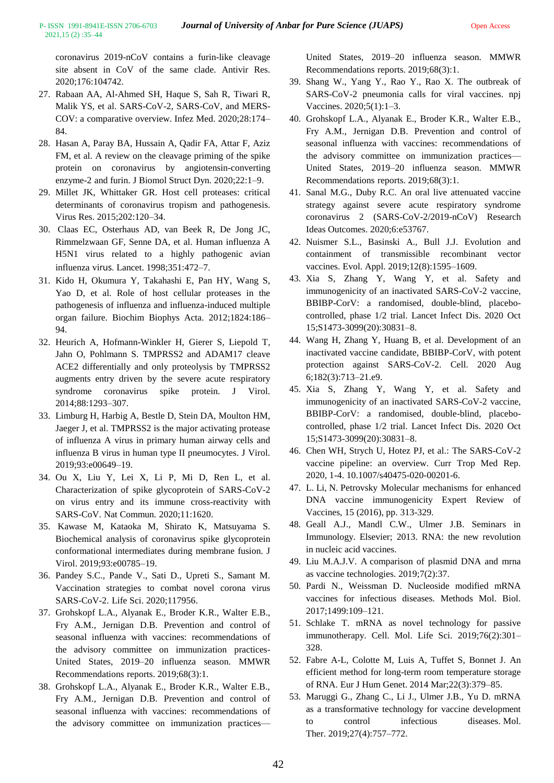coronavirus 2019-nCoV contains a furin-like cleavage site absent in CoV of the same clade. Antivir Res. 2020;176:104742.

- 27. Rabaan AA, Al-Ahmed SH, Haque S, Sah R, Tiwari R, Malik YS, et al. SARS-CoV-2, SARS-CoV, and MERS-COV: a comparative overview. Infez Med. 2020;28:174– 84.
- 28. Hasan A, Paray BA, Hussain A, Qadir FA, Attar F, Aziz FM, et al. A review on the cleavage priming of the spike protein on coronavirus by angiotensin-converting enzyme-2 and furin. J Biomol Struct Dyn. 2020;22:1–9.
- 29. Millet JK, Whittaker GR. Host cell proteases: critical determinants of coronavirus tropism and pathogenesis. Virus Res. 2015;202:120–34.
- 30. Claas EC, Osterhaus AD, van Beek R, De Jong JC, Rimmelzwaan GF, Senne DA, et al. Human influenza A H5N1 virus related to a highly pathogenic avian influenza virus. Lancet. 1998;351:472–7.
- 31. Kido H, Okumura Y, Takahashi E, Pan HY, Wang S, Yao D, et al. Role of host cellular proteases in the pathogenesis of influenza and influenza-induced multiple organ failure. Biochim Biophys Acta. 2012;1824:186– 94.
- 32. Heurich A, Hofmann-Winkler H, Gierer S, Liepold T, Jahn O, Pohlmann S. TMPRSS2 and ADAM17 cleave ACE2 differentially and only proteolysis by TMPRSS2 augments entry driven by the severe acute respiratory syndrome coronavirus spike protein. J Virol. 2014;88:1293–307.
- 33. Limburg H, Harbig A, Bestle D, Stein DA, Moulton HM, Jaeger J, et al. TMPRSS2 is the major activating protease of influenza A virus in primary human airway cells and influenza B virus in human type II pneumocytes. J Virol. 2019;93:e00649–19.
- 34. Ou X, Liu Y, Lei X, Li P, Mi D, Ren L, et al. Characterization of spike glycoprotein of SARS-CoV-2 on virus entry and its immune cross-reactivity with SARS-CoV. Nat Commun. 2020;11:1620.
- 35. Kawase M, Kataoka M, Shirato K, Matsuyama S. Biochemical analysis of coronavirus spike glycoprotein conformational intermediates during membrane fusion. J Virol. 2019;93:e00785–19.
- 36. Pandey S.C., Pande V., Sati D., Upreti S., Samant M. Vaccination strategies to combat novel corona virus SARS-CoV-2. Life Sci. 2020;117956.
- 37. Grohskopf L.A., Alyanak E., Broder K.R., Walter E.B., Fry A.M., Jernigan D.B. Prevention and control of seasonal influenza with vaccines: recommendations of the advisory committee on immunization practices-United States, 2019–20 influenza season. MMWR Recommendations reports. 2019;68(3):1.
- 38. Grohskopf L.A., Alyanak E., Broder K.R., Walter E.B., Fry A.M., Jernigan D.B. Prevention and control of seasonal influenza with vaccines: recommendations of the advisory committee on immunization practices—

United States, 2019–20 influenza season. MMWR Recommendations reports. 2019;68(3):1.

- 39. Shang W., Yang Y., Rao Y., Rao X. The outbreak of SARS-CoV-2 pneumonia calls for viral vaccines. npj Vaccines. 2020;5(1):1–3.
- 40. Grohskopf L.A., Alyanak E., Broder K.R., Walter E.B., Fry A.M., Jernigan D.B. Prevention and control of seasonal influenza with vaccines: recommendations of the advisory committee on immunization practices— United States, 2019–20 influenza season. MMWR Recommendations reports. 2019;68(3):1.
- 41. Sanal M.G., Duby R.C. An oral live attenuated vaccine strategy against severe acute respiratory syndrome coronavirus 2 (SARS-CoV-2/2019-nCoV) Research Ideas Outcomes. 2020;6:e53767.
- 42. Nuismer S.L., Basinski A., Bull J.J. Evolution and containment of transmissible recombinant vector vaccines. Evol. Appl. 2019;12(8):1595–1609.
- 43. Xia S, Zhang Y, Wang Y, et al. Safety and immunogenicity of an inactivated SARS-CoV-2 vaccine, BBIBP-CorV: a randomised, double-blind, placebocontrolled, phase 1/2 trial. Lancet Infect Dis. 2020 Oct 15;S1473-3099(20):30831–8.
- 44. Wang H, Zhang Y, Huang B, et al. Development of an inactivated vaccine candidate, BBIBP-CorV, with potent protection against SARS-CoV-2. Cell. 2020 Aug 6;182(3):713–21.e9.
- 45. Xia S, Zhang Y, Wang Y, et al. Safety and immunogenicity of an inactivated SARS-CoV-2 vaccine, BBIBP-CorV: a randomised, double-blind, placebocontrolled, phase 1/2 trial. Lancet Infect Dis. 2020 Oct 15;S1473-3099(20):30831–8.
- 46. Chen WH, Strych U, Hotez PJ, et al.: [The SARS-CoV-2](https://dx.doi.org/10.1007/s40475-020-00201-6)  [vaccine pipeline: an overview.](https://dx.doi.org/10.1007/s40475-020-00201-6) Curr Trop Med Rep. 2020, 1-4. [10.1007/s40475-020-00201-6.](https://dx.doi.org/10.1007/s40475-020-00201-6)
- 47. L. Li, N. Petrovsky Molecular mechanisms for enhanced DNA vaccine immunogenicity Expert Review of Vaccines, 15 (2016), pp. 313-329.
- 48. Geall A.J., Mandl C.W., Ulmer J.B. Seminars in Immunology. Elsevier; 2013. RNA: the new revolution in nucleic acid vaccines.
- 49. Liu M.A.J.V. A comparison of plasmid DNA and mrna as vaccine technologies. 2019;7(2):37.
- 50. Pardi N., Weissman D. Nucleoside modified mRNA vaccines for infectious diseases. Methods Mol. Biol. 2017;1499:109–121.
- 51. Schlake T. mRNA as novel technology for passive immunotherapy. Cell. Mol. Life Sci. 2019;76(2):301– 328.
- 52. Fabre A-L, Colotte M, Luis A, Tuffet S, Bonnet J. An efficient method for long-term room temperature storage of RNA. Eur J Hum Genet. 2014 Mar;22(3):379–85.
- 53. Maruggi G., Zhang C., Li J., Ulmer J.B., Yu D. mRNA as a transformative technology for vaccine development to control infectious diseases. Mol. Ther. 2019;27(4):757–772.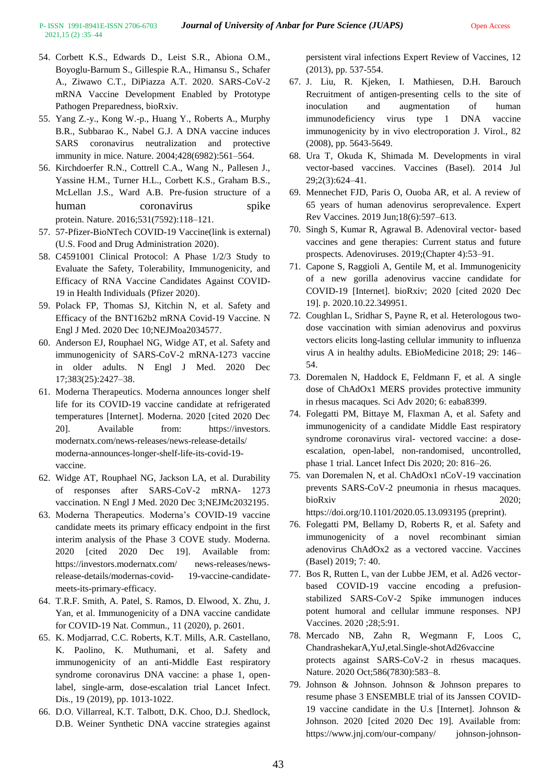- 54. Corbett K.S., Edwards D., Leist S.R., Abiona O.M., Boyoglu-Barnum S., Gillespie R.A., Himansu S., Schafer A., Ziwawo C.T., DiPiazza A.T. 2020. SARS-CoV-2 mRNA Vaccine Development Enabled by Prototype Pathogen Preparedness, bioRxiv.
- 55. Yang Z.-y., Kong W.-p., Huang Y., Roberts A., Murphy B.R., Subbarao K., Nabel G.J. A DNA vaccine induces SARS coronavirus neutralization and protective immunity in mice. Nature. 2004;428(6982):561–564.
- 56. Kirchdoerfer R.N., Cottrell C.A., Wang N., Pallesen J., Yassine H.M., Turner H.L., Corbett K.S., Graham B.S., McLellan J.S., Ward A.B. Pre-fusion structure of a human coronavirus spike protein. Nature. 2016;531(7592):118–121.
- 57. 57[-Pfizer-BioNTech COVID-19 Vaccine\(link is external\)](https://www.fda.gov/emergency-preparedness-and-response/coronavirus-disease-2019-covid-19/pfizer-biontech-covid-19-vaccine) (U.S. Food and Drug Administration 2020).
- 58. [C4591001 Clinical Protocol: A Phase 1/2/3 Study to](https://cdn.pfizer.com/pfizercom/2020-11/C4591001_Clinical_Protocol_Nov2020.pdf)  [Evaluate the Safety, Tolerability, Immunogenicity, and](https://cdn.pfizer.com/pfizercom/2020-11/C4591001_Clinical_Protocol_Nov2020.pdf)  [Efficacy of RNA Vaccine Candidates Against COVID-](https://cdn.pfizer.com/pfizercom/2020-11/C4591001_Clinical_Protocol_Nov2020.pdf)[19 in Health Individuals](https://cdn.pfizer.com/pfizercom/2020-11/C4591001_Clinical_Protocol_Nov2020.pdf) (Pfizer 2020).
- 59. Polack FP, Thomas SJ, Kitchin N, et al. Safety and Efficacy of the BNT162b2 mRNA Covid-19 Vaccine. N Engl J Med. 2020 Dec 10;NEJMoa2034577.
- 60. Anderson EJ, Rouphael NG, Widge AT, et al. Safety and immunogenicity of SARS-CoV-2 mRNA-1273 vaccine in older adults. N Engl J Med. 2020 Dec 17;383(25):2427–38.
- 61. Moderna Therapeutics. Moderna announces longer shelf life for its COVID-19 vaccine candidate at refrigerated temperatures [Internet]. Moderna. 2020 [cited 2020 Dec 20]. Available from: https://investors. modernatx.com/news-releases/news-release-details/ moderna-announces-longer-shelf-life-its-covid-19 vaccine.
- 62. Widge AT, Rouphael NG, Jackson LA, et al. Durability of responses after SARS-CoV-2 mRNA- 1273 vaccination. N Engl J Med. 2020 Dec 3;NEJMc2032195.
- 63. Moderna Therapeutics. Moderna's COVID-19 vaccine candidate meets its primary efficacy endpoint in the first interim analysis of the Phase 3 COVE study. Moderna. 2020 [cited 2020 Dec 19]. Available from: https://investors.modernatx.com/ news-releases/newsrelease-details/modernas-covid- 19-vaccine-candidatemeets-its-primary-efficacy.
- 64. T.R.F. Smith, A. Patel, S. Ramos, D. Elwood, X. Zhu, J. Yan, et al. Immunogenicity of a DNA vaccine candidate for COVID-19 Nat. Commun., 11 (2020), p. 2601.
- 65. K. Modjarrad, C.C. Roberts, K.T. Mills, A.R. Castellano, K. Paolino, K. Muthumani, et al. Safety and immunogenicity of an anti-Middle East respiratory syndrome coronavirus DNA vaccine: a phase 1, openlabel, single-arm, dose-escalation trial Lancet Infect. Dis., 19 (2019), pp. 1013-1022.
- 66. D.O. Villarreal, K.T. Talbott, D.K. Choo, D.J. Shedlock, D.B. Weiner Synthetic DNA vaccine strategies against

persistent viral infections Expert Review of Vaccines, 12 (2013), pp. 537-554.

- 67. J. Liu, R. Kjeken, I. Mathiesen, D.H. Barouch Recruitment of antigen-presenting cells to the site of inoculation and augmentation of human immunodeficiency virus type 1 DNA vaccine immunogenicity by in vivo electroporation J. Virol., 82 (2008), pp. 5643-5649.
- 68. Ura T, Okuda K, Shimada M. Developments in viral vector-based vaccines. Vaccines (Basel). 2014 Jul 29;2(3):624–41.
- 69. Mennechet FJD, Paris O, Ouoba AR, et al. A review of 65 years of human adenovirus seroprevalence. Expert Rev Vaccines. 2019 Jun;18(6):597–613.
- 70. Singh S, Kumar R, Agrawal B. Adenoviral vector- based vaccines and gene therapies: Current status and future prospects. Adenoviruses. 2019;(Chapter 4):53–91.
- 71. Capone S, Raggioli A, Gentile M, et al. Immunogenicity of a new gorilla adenovirus vaccine candidate for COVID-19 [Internet]. bioRxiv; 2020 [cited 2020 Dec 19]. p. 2020.10.22.349951.
- 72. Coughlan L, Sridhar S, Payne R, et al. Heterologous twodose vaccination with simian adenovirus and poxvirus vectors elicits long-lasting cellular immunity to influenza virus A in healthy adults. EBioMedicine 2018; 29: 146– 54.
- 73. Doremalen N, Haddock E, Feldmann F, et al. A single dose of ChAdOx1 MERS provides protective immunity in rhesus macaques. Sci Adv 2020; 6: eaba8399.
- 74. Folegatti PM, Bittaye M, Flaxman A, et al. Safety and immunogenicity of a candidate Middle East respiratory syndrome coronavirus viral- vectored vaccine: a doseescalation, open-label, non-randomised, uncontrolled, phase 1 trial. Lancet Infect Dis 2020; 20: 816–26.
- 75. van Doremalen N, et al. ChAdOx1 nCoV-19 vaccination prevents SARS-CoV-2 pneumonia in rhesus macaques. bioRxiv 2020; https://doi.org/10.1101/2020.05.13.093195 (preprint).
- 76. Folegatti PM, Bellamy D, Roberts R, et al. Safety and immunogenicity of a novel recombinant simian adenovirus ChAdOx2 as a vectored vaccine. Vaccines (Basel) 2019; 7: 40.
- 77. Bos R, Rutten L, van der Lubbe JEM, et al. Ad26 vectorbased COVID-19 vaccine encoding a prefusionstabilized SARS-CoV-2 Spike immunogen induces potent humoral and cellular immune responses. NPJ Vaccines. 2020 ;28;5:91.
- 78. Mercado NB, Zahn R, Wegmann F, Loos C, ChandrashekarA,YuJ,etal.Single-shotAd26vaccine protects against SARS-CoV-2 in rhesus macaques. Nature. 2020 Oct;586(7830):583–8.
- 79. Johnson & Johnson. Johnson & Johnson prepares to resume phase 3 ENSEMBLE trial of its Janssen COVID-19 vaccine candidate in the U.s [Internet]. Johnson & Johnson. 2020 [cited 2020 Dec 19]. Available from: https://www.jnj.com/our-company/ johnson-johnson-